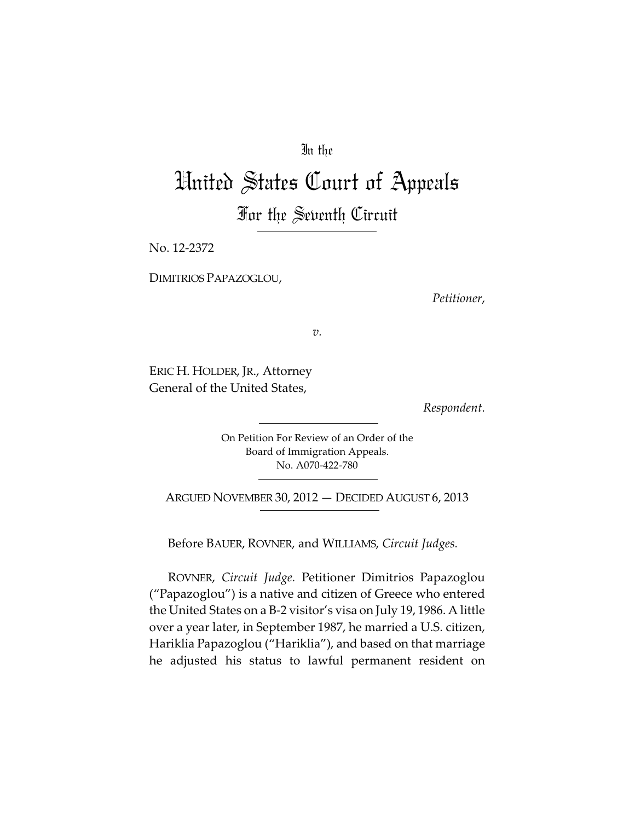## In the

## United States Court of Appeals For the Seventh Circuit

No. 12-2372

DIMITRIOS PAPAZOGLOU,

*Petitioner*,

*v.*

ERIC H. HOLDER, JR., Attorney General of the United States,

*Respondent.*

On Petition For Review of an Order of the Board of Immigration Appeals. No. A070-422-780

ARGUED NOVEMBER 30, 2012 — DECIDED AUGUST 6, 2013

Before BAUER, ROVNER, and WILLIAMS, *Circuit Judges.*

ROVNER, *Circuit Judge.* Petitioner Dimitrios Papazoglou ("Papazoglou") is a native and citizen of Greece who entered the United States on a B-2 visitor's visa on July 19, 1986. A little over a year later, in September 1987, he married a U.S. citizen, Hariklia Papazoglou ("Hariklia"), and based on that marriage he adjusted his status to lawful permanent resident on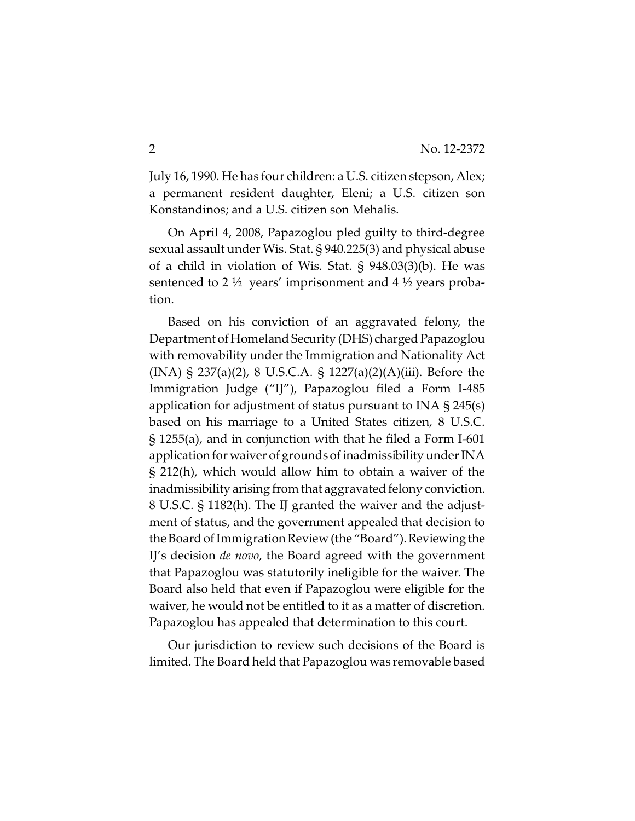July 16, 1990. He has four children: a U.S. citizen stepson, Alex; a permanent resident daughter, Eleni; a U.S. citizen son Konstandinos; and a U.S. citizen son Mehalis.

On April 4, 2008, Papazoglou pled guilty to third-degree sexual assault under Wis. Stat. § 940.225(3) and physical abuse of a child in violation of Wis. Stat. § 948.03(3)(b). He was sentenced to 2  $\frac{1}{2}$  years' imprisonment and 4  $\frac{1}{2}$  years probation.

Based on his conviction of an aggravated felony, the Department of Homeland Security (DHS) charged Papazoglou with removability under the Immigration and Nationality Act (INA) § 237(a)(2), 8 U.S.C.A. § 1227(a)(2)(A)(iii). Before the Immigration Judge ("IJ"), Papazoglou filed a Form I-485 application for adjustment of status pursuant to INA  $\S 245(s)$ based on his marriage to a United States citizen, 8 U.S.C. § 1255(a), and in conjunction with that he filed a Form I-601 application for waiver of grounds of inadmissibility under INA § 212(h), which would allow him to obtain a waiver of the inadmissibility arising from that aggravated felony conviction. 8 U.S.C. § 1182(h). The IJ granted the waiver and the adjustment of status, and the government appealed that decision to the Board of Immigration Review (the "Board"). Reviewing the IJ's decision *de novo*, the Board agreed with the government that Papazoglou was statutorily ineligible for the waiver. The Board also held that even if Papazoglou were eligible for the waiver, he would not be entitled to it as a matter of discretion. Papazoglou has appealed that determination to this court.

Our jurisdiction to review such decisions of the Board is limited. The Board held that Papazoglou was removable based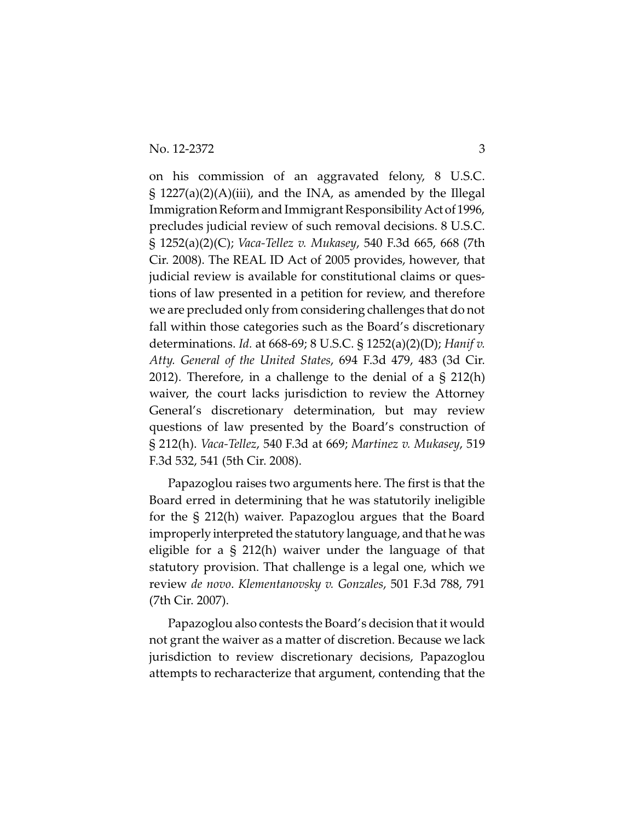on his commission of an aggravated felony, 8 U.S.C.  $\S$  1227(a)(2)(A)(iii), and the INA, as amended by the Illegal Immigration Reform and Immigrant Responsibility Act of 1996, precludes judicial review of such removal decisions. 8 U.S.C. § 1252(a)(2)(C); *Vaca-Tellez v. Mukasey*, 540 F.3d 665, 668 (7th Cir. 2008). The REAL ID Act of 2005 provides, however, that judicial review is available for constitutional claims or questions of law presented in a petition for review, and therefore we are precluded only from considering challenges that do not fall within those categories such as the Board's discretionary determinations. *Id.* at 668-69; 8 U.S.C. § 1252(a)(2)(D); *Hanif v. Atty. General of the United States*, 694 F.3d 479, 483 (3d Cir. 2012). Therefore, in a challenge to the denial of a § 212(h) waiver, the court lacks jurisdiction to review the Attorney General's discretionary determination, but may review questions of law presented by the Board's construction of § 212(h). *Vaca-Tellez*, 540 F.3d at 669; *Martinez v. Mukasey*, 519 F.3d 532, 541 (5th Cir. 2008).

Papazoglou raises two arguments here. The first is that the Board erred in determining that he was statutorily ineligible for the § 212(h) waiver. Papazoglou argues that the Board improperly interpreted the statutory language, and that he was eligible for a § 212(h) waiver under the language of that statutory provision. That challenge is a legal one, which we review *de novo*. *Klementanovsky v. Gonzales*, 501 F.3d 788, 791 (7th Cir. 2007).

Papazoglou also contests the Board's decision that it would not grant the waiver as a matter of discretion. Because we lack jurisdiction to review discretionary decisions, Papazoglou attempts to recharacterize that argument, contending that the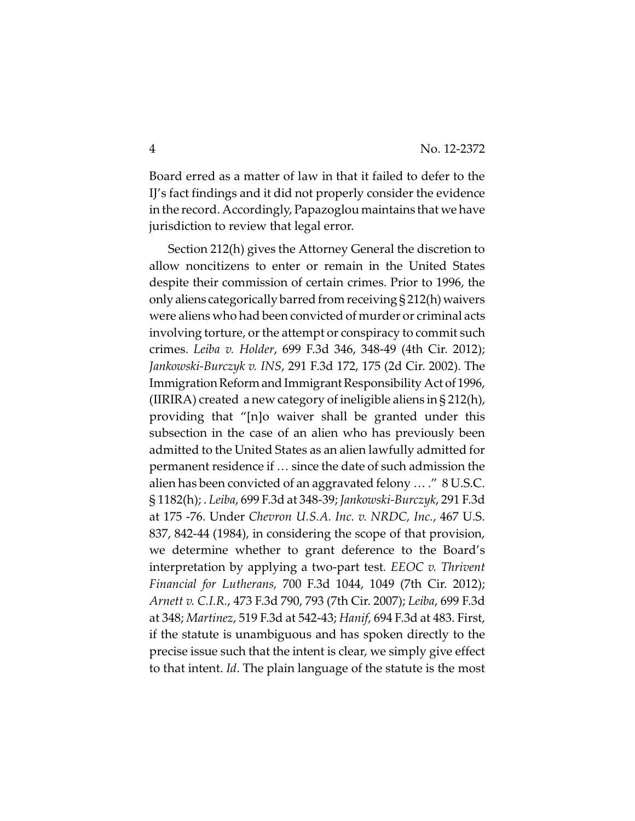Board erred as a matter of law in that it failed to defer to the IJ's fact findings and it did not properly consider the evidence in the record. Accordingly, Papazoglou maintains that we have jurisdiction to review that legal error.

Section 212(h) gives the Attorney General the discretion to allow noncitizens to enter or remain in the United States despite their commission of certain crimes. Prior to 1996, the only aliens categorically barred from receiving  $\S 212(h)$  waivers were aliens who had been convicted of murder or criminal acts involving torture, or the attempt or conspiracy to commit such crimes. *Leiba v. Holder*, 699 F.3d 346, 348-49 (4th Cir. 2012); *Jankowski-Burczyk v. INS*, 291 F.3d 172, 175 (2d Cir. 2002). The Immigration Reform and Immigrant Responsibility Act of 1996, (IIRIRA) created a new category of ineligible aliens in § 212(h), providing that "[n]o waiver shall be granted under this subsection in the case of an alien who has previously been admitted to the United States as an alien lawfully admitted for permanent residence if … since the date of such admission the alien has been convicted of an aggravated felony … ." 8 U.S.C. § 1182(h); . *Leiba*, 699 F.3d at 348-39; *Jankowski-Burczyk*, 291 F.3d at 175 -76. Under *Chevron U.S.A. Inc. v. NRDC, Inc.*, 467 U.S. 837, 842-44 (1984), in considering the scope of that provision, we determine whether to grant deference to the Board's interpretation by applying a two-part test*. EEOC v. Thrivent Financial for Lutherans,* 700 F.3d 1044, 1049 (7th Cir. 2012); *Arnett v. C.I.R.*, 473 F.3d 790, 793 (7th Cir. 2007); *Leiba*, 699 F.3d at 348; *Martinez*, 519 F.3d at 542-43; *Hanif*, 694 F.3d at 483. First, if the statute is unambiguous and has spoken directly to the precise issue such that the intent is clear, we simply give effect to that intent. *Id*. The plain language of the statute is the most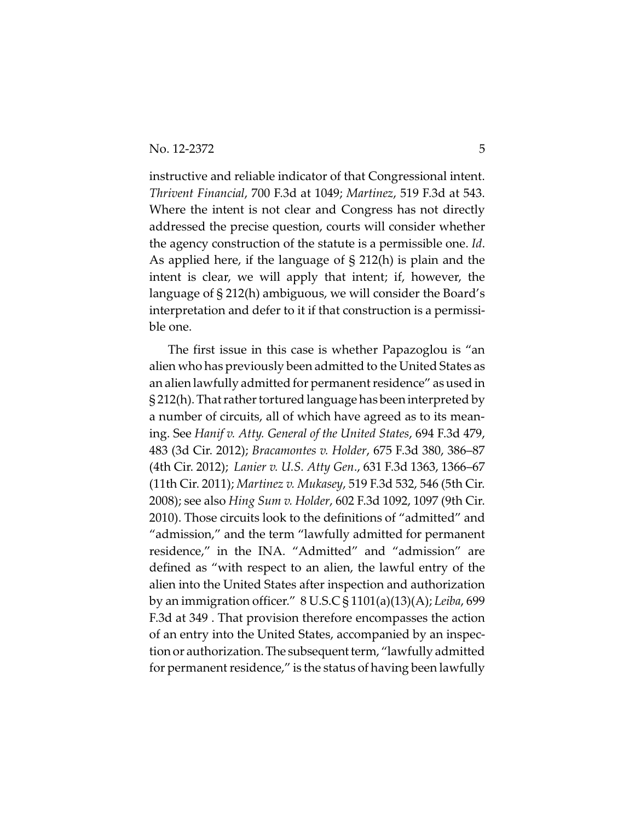instructive and reliable indicator of that Congressional intent. *Thrivent Financial*, 700 F.3d at 1049; *Martinez*, 519 F.3d at 543. Where the intent is not clear and Congress has not directly addressed the precise question, courts will consider whether the agency construction of the statute is a permissible one. *Id*. As applied here, if the language of § 212(h) is plain and the intent is clear, we will apply that intent; if, however, the language of § 212(h) ambiguous, we will consider the Board's interpretation and defer to it if that construction is a permissible one.

The first issue in this case is whether Papazoglou is "an alien who has previously been admitted to the United States as an alien lawfully admitted for permanent residence" as used in § 212(h). That rather tortured language has been interpreted by a number of circuits, all of which have agreed as to its meaning. See *Hanif v. Atty. General of the United States*, 694 F.3d 479, 483 (3d Cir. 2012); *Bracamontes v. Holder*, 675 F.3d 380, 386–87 (4th Cir. 2012); *Lanier v. U.S. Atty Gen*., 631 F.3d 1363, 1366–67 (11th Cir. 2011); *Martinez v. Mukasey*, 519 F.3d 532, 546 (5th Cir. 2008); see also *Hing Sum v. Holder*, 602 F.3d 1092, 1097 (9th Cir. 2010). Those circuits look to the definitions of "admitted" and "admission," and the term "lawfully admitted for permanent residence," in the INA. "Admitted" and "admission" are defined as "with respect to an alien, the lawful entry of the alien into the United States after inspection and authorization by an immigration officer." 8 U.S.C § 1101(a)(13)(A); *Leiba*, 699 F.3d at 349 . That provision therefore encompasses the action of an entry into the United States, accompanied by an inspection or authorization.The subsequent term, "lawfully admitted for permanent residence," is the status of having been lawfully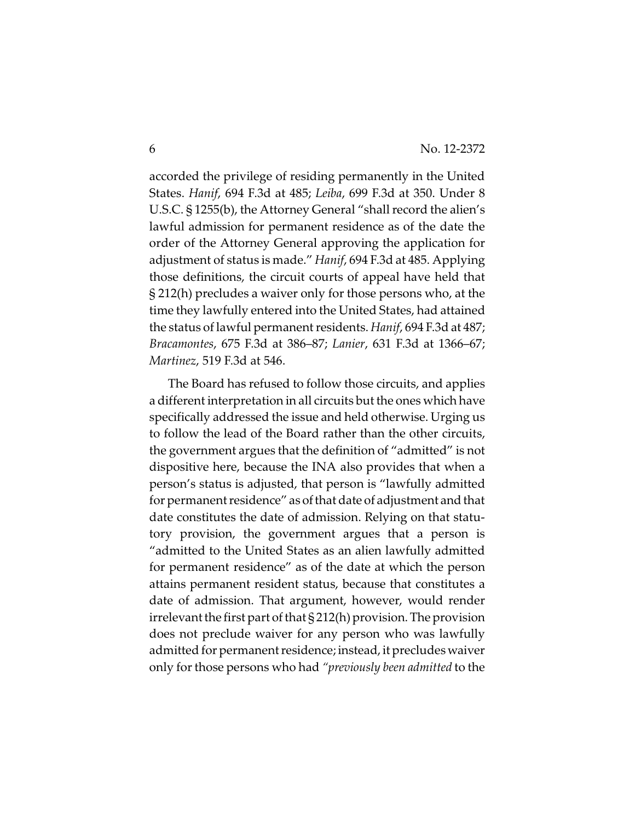accorded the privilege of residing permanently in the United States. *Hanif*, 694 F.3d at 485; *Leiba*, 699 F.3d at 350. Under 8 U.S.C. § 1255(b), the Attorney General "shall record the alien's lawful admission for permanent residence as of the date the order of the Attorney General approving the application for adjustment of status is made." *Hanif*, 694 F.3d at 485. Applying those definitions, the circuit courts of appeal have held that § 212(h) precludes a waiver only for those persons who, at the time they lawfully entered into the United States, had attained the status of lawful permanent residents. *Hanif*, 694 F.3d at 487; *Bracamontes*, 675 F.3d at 386–87; *Lanier*, 631 F.3d at 1366–67; *Martinez*, 519 F.3d at 546.

The Board has refused to follow those circuits, and applies a different interpretation in all circuits but the ones which have specifically addressed the issue and held otherwise. Urging us to follow the lead of the Board rather than the other circuits, the government argues that the definition of "admitted" is not dispositive here, because the INA also provides that when a person's status is adjusted, that person is "lawfully admitted for permanent residence" as ofthat date of adjustment and that date constitutes the date of admission. Relying on that statutory provision, the government argues that a person is "admitted to the United States as an alien lawfully admitted for permanent residence" as of the date at which the person attains permanent resident status, because that constitutes a date of admission. That argument, however, would render irrelevant the first part of that § 212(h) provision. The provision does not preclude waiver for any person who was lawfully admitted for permanent residence; instead, it precludes waiver only for those persons who had *"previously been admitted* to the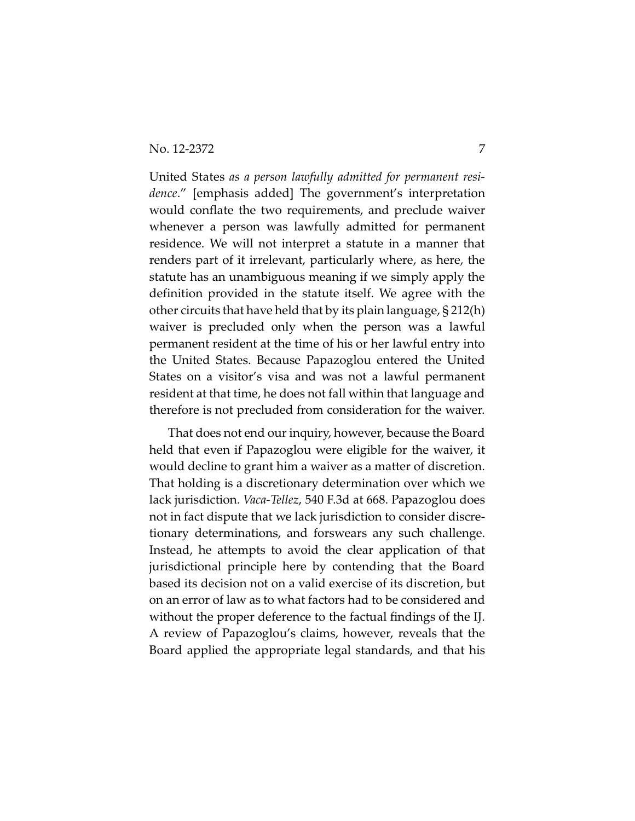No. 12-2372 7

United States *as a person lawfully admitted for permanent residence*." [emphasis added] The government's interpretation would conflate the two requirements, and preclude waiver whenever a person was lawfully admitted for permanent residence. We will not interpret a statute in a manner that renders part of it irrelevant, particularly where, as here, the statute has an unambiguous meaning if we simply apply the definition provided in the statute itself. We agree with the other circuits that have held that by its plain language, § 212(h) waiver is precluded only when the person was a lawful permanent resident at the time of his or her lawful entry into the United States. Because Papazoglou entered the United States on a visitor's visa and was not a lawful permanent resident at that time, he does not fall within that language and therefore is not precluded from consideration for the waiver.

That does not end our inquiry, however, because the Board held that even if Papazoglou were eligible for the waiver, it would decline to grant him a waiver as a matter of discretion. That holding is a discretionary determination over which we lack jurisdiction. *Vaca-Tellez*, 540 F.3d at 668. Papazoglou does not in fact dispute that we lack jurisdiction to consider discretionary determinations, and forswears any such challenge. Instead, he attempts to avoid the clear application of that jurisdictional principle here by contending that the Board based its decision not on a valid exercise of its discretion, but on an error of law as to what factors had to be considered and without the proper deference to the factual findings of the IJ. A review of Papazoglou's claims, however, reveals that the Board applied the appropriate legal standards, and that his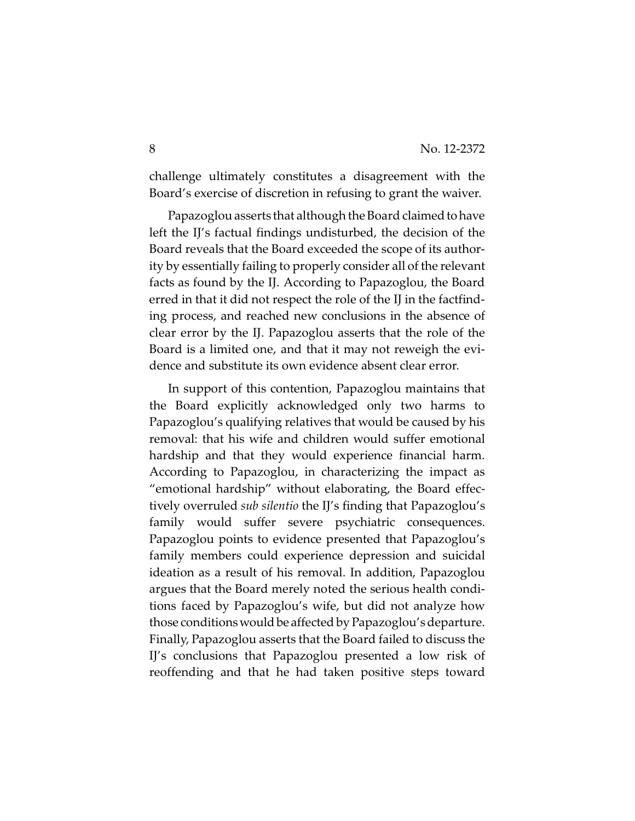challenge ultimately constitutes a disagreement with the Board's exercise of discretion in refusing to grant the waiver.

Papazoglou asserts that although the Board claimed to have left the IJ's factual findings undisturbed, the decision of the Board reveals that the Board exceeded the scope of its authority by essentially failing to properly consider all of the relevant facts as found by the IJ. According to Papazoglou, the Board erred in that it did not respect the role of the IJ in the factfinding process, and reached new conclusions in the absence of clear error by the IJ. Papazoglou asserts that the role of the Board is a limited one, and that it may not reweigh the evidence and substitute its own evidence absent clear error.

In support of this contention, Papazoglou maintains that the Board explicitly acknowledged only two harms to Papazoglou's qualifying relatives that would be caused by his removal: that his wife and children would suffer emotional hardship and that they would experience financial harm. According to Papazoglou, in characterizing the impact as "emotional hardship" without elaborating, the Board effectively overruled *sub silentio* the IJ's finding that Papazoglou's family would suffer severe psychiatric consequences. Papazoglou points to evidence presented that Papazoglou's family members could experience depression and suicidal ideation as a result of his removal. In addition, Papazoglou argues that the Board merely noted the serious health conditions faced by Papazoglou's wife, but did not analyze how those conditions would be affected by Papazoglou's departure. Finally, Papazoglou asserts that the Board failed to discuss the IJ's conclusions that Papazoglou presented a low risk of reoffending and that he had taken positive steps toward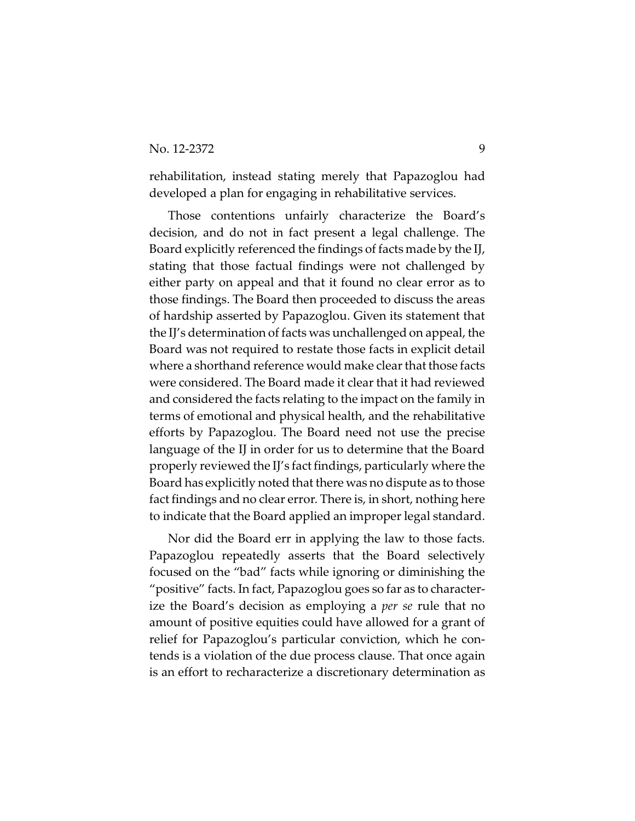## No. 12-2372 9

rehabilitation, instead stating merely that Papazoglou had developed a plan for engaging in rehabilitative services.

Those contentions unfairly characterize the Board's decision, and do not in fact present a legal challenge. The Board explicitly referenced the findings of facts made by the IJ, stating that those factual findings were not challenged by either party on appeal and that it found no clear error as to those findings. The Board then proceeded to discuss the areas of hardship asserted by Papazoglou. Given its statement that the IJ's determination of facts was unchallenged on appeal, the Board was not required to restate those facts in explicit detail where a shorthand reference would make clear that those facts were considered. The Board made it clear that it had reviewed and considered the facts relating to the impact on the family in terms of emotional and physical health, and the rehabilitative efforts by Papazoglou. The Board need not use the precise language of the IJ in order for us to determine that the Board properly reviewed the IJ's fact findings, particularly where the Board has explicitly noted that there was no dispute as to those fact findings and no clear error. There is, in short, nothing here to indicate that the Board applied an improper legal standard.

Nor did the Board err in applying the law to those facts. Papazoglou repeatedly asserts that the Board selectively focused on the "bad" facts while ignoring or diminishing the "positive" facts. In fact, Papazoglou goes so far as to characterize the Board's decision as employing a *per se* rule that no amount of positive equities could have allowed for a grant of relief for Papazoglou's particular conviction, which he contends is a violation of the due process clause. That once again is an effort to recharacterize a discretionary determination as